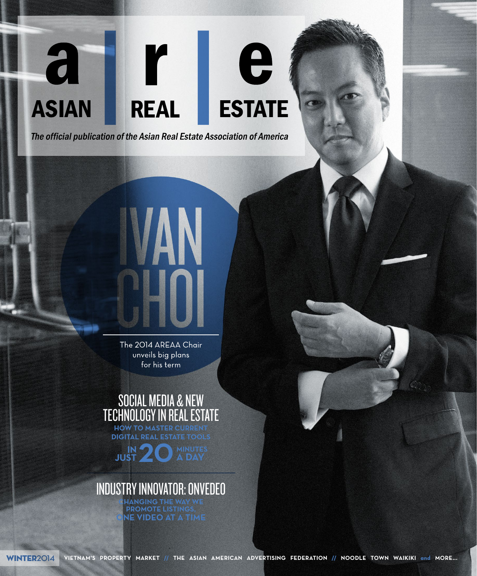### **ESTATE ASIAN REAL**

 $\mathbf{r}$ 

e

a

The official publication of the Asian Real Estate Association of America

The 2014 AREAA Chair unveils big plans for his term

# SOCIAL MEDIA & NEW TECHNOLOGY IN REAL ESTATE

**HOW TO MASTER CURRENT DIGITAL REAL ESTATE TOOLS** 

**JUST JUST 20 MINUTES A DAY**

### INDUSTRY INNOVATOR: ONVEDEO

**CHANGING THE WAY WE PROMOTE LISTINGS, ONE VIDEO AT A TIME**

WINTER**2014 VIETNAM'S PROPERTY MARKET // THE ASIAN AMERICAN ADVERTISING FEDERATION // NOODLE TOWN WAIKIKI and MORE...**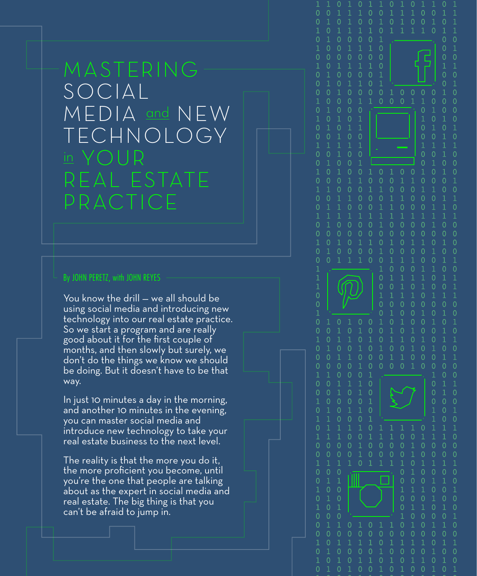# MASTERING SOCIAL MEDIA and NEW TECHNOLOGY in YOUR REAL ESTATE PRACTICE

 $\Omega$ 

 $\Omega$ 

 $\Omega$ 

 $\overline{0}$ 

 $\overline{0}$ 

 $\Omega$ 

 $\Omega$ 

 $\overline{0}$  $\overline{0}$ 

 $\Omega$ 

 $\overline{0}$ 

 $\Omega$ 

 $\overline{0}$ 

 $\Omega$ 

 $\overline{O}$ 

 $\Omega$ 

 $\Omega$ 

 $\Omega$ 

 $\Omega$ 

#### By JOHN PERETZ, with JOHN REYES

You know the drill — we all should be using social media and introducing new technology into our real estate practice. So we start a program and are really good about it for the first couple of months, and then slowly but surely, we don't do the things we know we should be doing. But it doesn't have to be that way.

In just 10 minutes a day in the morning, and another 10 minutes in the evening, you can master social media and introduce new technology to take your real estate business to the next level.

The reality is that the more you do it, the more proficient you become, until you're the one that people are talking about as the expert in social media and real estate. The big thing is that you can't be afraid to jump in.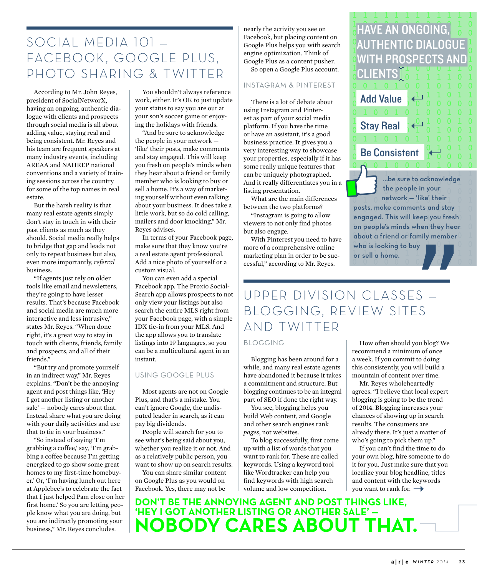### SOCIAL MEDIA 101 — FACEBOOK, GOOGLE PLUS, PHOTO SHARING & TWITTER

According to Mr. John Reyes, president of SocialNetworX, having an ongoing, authentic dialogue with clients and prospects through social media is all about adding value, staying real and being consistent. Mr. Reyes and his team are frequent speakers at many industry events, including AREAA and NAHREP national conventions and a variety of training sessions across the country for some of the top names in real estate.

But the harsh reality is that many real estate agents simply don't stay in touch in with their past clients as much as they should. Social media really helps to bridge that gap and leads not only to repeat business but also, even more importantly, *referral* business.

"If agents just rely on older tools like email and newsletters, they're going to have lesser results. That's because Facebook and social media are much more interactive and less intrusive," states Mr. Reyes. "When done right, it's a great way to stay in touch with clients, friends, family and prospects, and all of their friends."

"But try and promote yourself in an indirect way," Mr. Reyes explains. "Don't be the annoying agent and post things like, 'Hey I got another listing or another sale' — nobody cares about that. Instead share what you are doing with your daily activities and use that to tie in your business."

"So instead of saying 'I'm grabbing a coffee,' say, 'I'm grabbing a coffee because I'm getting energized to go show some great homes to my first-time homebuyer.' Or, 'I'm having lunch out here at Applebee's to celebrate the fact that I just helped Pam close on her first home.' So you are letting people know what you are doing, but you are indirectly promoting your business," Mr. Reyes concludes.

You shouldn't always reference work, either. It's OK to just update your status to say you are out at your son's soccer game or enjoying the holidays with friends.

"And be sure to acknowledge the people in your network — 'like' their posts, make comments and stay engaged. This will keep you fresh on people's minds when they hear about a friend or family member who is looking to buy or sell a home. It's a way of marketing yourself without even talking about your business. It does take a little work, but so do cold calling, mailers and door knocking," Mr. Reyes advises.

In terms of your Facebook page, make sure that they know you're a real estate agent professional. Add a nice photo of yourself or a custom visual.

You can even add a special Facebook app. The Proxio Social-Search app allows prospects to not only view your listings but also search the entire MLS right from your Facebook page, with a simple IDX tie-in from your MLS. And the app allows you to translate listings into 19 languages, so you can be a multicultural agent in an instant.

#### USING GOOGLE PLUS

Most agents are not on Google Plus, and that's a mistake. You can't ignore Google, the undisputed leader in search, as it can pay big dividends.

People will search for you to see what's being said about you, whether you realize it or not. And as a relatively public person, you want to show up on search results.

You can share similar content on Google Plus as you would on Facebook. Yes, there may not be

nearly the activity you see on Facebook, but placing content on Google Plus helps you with search engine optimization. Think of Google Plus as a content pusher. So open a Google Plus account.

#### INSTAGRAM & PINTEREST

There is a lot of debate about using Instagram and Pinterest as part of your social media platform. If you have the time or have an assistant, it's a good business practice. It gives you a very interesting way to showcase your properties, especially if it has some really unique features that can be uniquely photographed. And it really differentiates you in a listing presentation.

What are the main differences between the two platforms?

"Instagram is going to allow viewers to not only find photos but also engage.

With Pinterest you need to have more of a comprehensive online marketing plan in order to be successful," according to Mr. Reyes.

# UPPER DIVISION CLASSES — BLOGGING, REVIEW SITES AND TWITTER

#### BLOGGING

Blogging has been around for a while, and many real estate agents have abandoned it because it takes a commitment and structure. But blogging continues to be an integral part of SEO if done the right way.

You see, blogging helps you build Web content, and Google and other search engines rank *pages*, not websites.

To blog successfully, first come up with a list of words that you want to rank for. These are called keywords. Using a keyword tool like Wordtracker can help you find keywords with high search volume and low competition.

How often should you blog? We recommend a minimum of once a week. If you commit to doing this consistently, you will build a mountain of content over time.

HAVE AN ONGOING,

CLIENTS

Add Value

Stay Real

Be Consistent

who is looking to buy or sell a home.

AUTHENTIC DIALOGUE

WITH PROSPECTS AND

…be sure to acknowledge the people in your network — 'like' their posts, make comments and stay engaged. This will keep you fresh on people's minds when they hear about a friend or family member

Mr. Reyes wholeheartedly agrees. "I believe that local expert blogging is going to be the trend of 2014. Blogging increases your chances of showing up in search results. The consumers are already there. It's just a matter of who's going to pick them up."

If you can't find the time to do your own blog, hire someone to do it for you. Just make sure that you localize your blog headline, titles and content with the keywords you want to rank for.  $\rightarrow$ 

**DON'T BE THE ANNOYING AGENT AND POST THINGS LIKE, 'HEY I GOT ANOTHER LISTING OR ANOTHER SALE' — NOBODY CARES ABOUT THAT.**